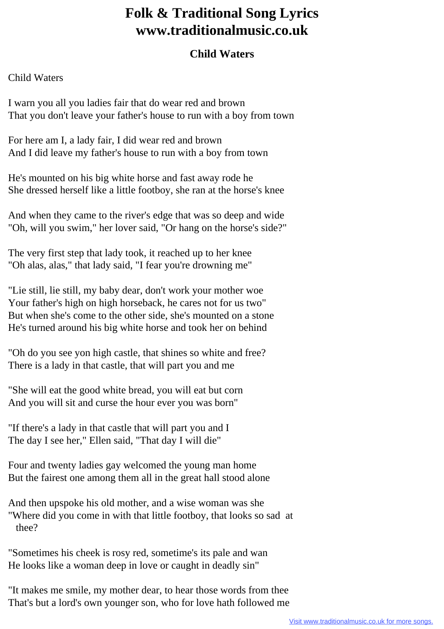## **Folk & Traditional Song Lyrics www.traditionalmusic.co.uk**

## **Child Waters**

## Child Waters

I warn you all you ladies fair that do wear red and brown That you don't leave your father's house to run with a boy from town

For here am I, a lady fair, I did wear red and brown And I did leave my father's house to run with a boy from town

He's mounted on his big white horse and fast away rode he She dressed herself like a little footboy, she ran at the horse's knee

And when they came to the river's edge that was so deep and wide "Oh, will you swim," her lover said, "Or hang on the horse's side?"

The very first step that lady took, it reached up to her knee "Oh alas, alas," that lady said, "I fear you're drowning me"

"Lie still, lie still, my baby dear, don't work your mother woe Your father's high on high horseback, he cares not for us two" But when she's come to the other side, she's mounted on a stone He's turned around his big white horse and took her on behind

"Oh do you see yon high castle, that shines so white and free? There is a lady in that castle, that will part you and me

"She will eat the good white bread, you will eat but corn And you will sit and curse the hour ever you was born"

"If there's a lady in that castle that will part you and I The day I see her," Ellen said, "That day I will die"

Four and twenty ladies gay welcomed the young man home But the fairest one among them all in the great hall stood alone

And then upspoke his old mother, and a wise woman was she "Where did you come in with that little footboy, that looks so sad at thee?

"Sometimes his cheek is rosy red, sometime's its pale and wan He looks like a woman deep in love or caught in deadly sin"

"It makes me smile, my mother dear, to hear those words from thee That's but a lord's own younger son, who for love hath followed me